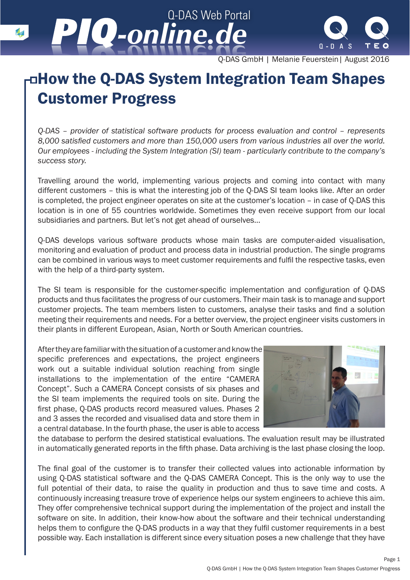Q-DAS Web Portal *-online.de -online.de*



Q-DAS GmbH | Melanie Feuerstein| August 2016

## How the Q-DAS System Integration Team Shapes Customer Progress

*Q-DAS – provider of statistical software products for process evaluation and control – represents 8,000 satisfied customers and more than 150,000 users from various industries all over the world. Our employees - including the System Integration (SI) team - particularly contribute to the company's success story.* 

Travelling around the world, implementing various projects and coming into contact with many different customers – this is what the interesting job of the Q-DAS SI team looks like. After an order is completed, the project engineer operates on site at the customer's location – in case of Q-DAS this location is in one of 55 countries worldwide. Sometimes they even receive support from our local subsidiaries and partners. But let's not get ahead of ourselves…

Q-DAS develops various software products whose main tasks are computer-aided visualisation, monitoring and evaluation of product and process data in industrial production. The single programs can be combined in various ways to meet customer requirements and fulfil the respective tasks, even with the help of a third-party system.

The SI team is responsible for the customer-specific implementation and configuration of Q-DAS products and thus facilitates the progress of our customers. Their main task is to manage and support customer projects. The team members listen to customers, analyse their tasks and find a solution meeting their requirements and needs. For a better overview, the project engineer visits customers in their plants in different European, Asian, North or South American countries.

After they are familiar with the situation of a customer and know the specific preferences and expectations, the project engineers work out a suitable individual solution reaching from single installations to the implementation of the entire "CAMERA Concept". Such a CAMERA Concept consists of six phases and the SI team implements the required tools on site. During the first phase, Q-DAS products record measured values. Phases 2 and 3 asses the recorded and visualised data and store them in a central database. In the fourth phase, the user is able to access



the database to perform the desired statistical evaluations. The evaluation result may be illustrated in automatically generated reports in the fifth phase. Data archiving is the last phase closing the loop.

The final goal of the customer is to transfer their collected values into actionable information by using Q-DAS statistical software and the Q-DAS CAMERA Concept. This is the only way to use the full potential of their data, to raise the quality in production and thus to save time and costs. A continuously increasing treasure trove of experience helps our system engineers to achieve this aim. They offer comprehensive technical support during the implementation of the project and install the software on site. In addition, their know-how about the software and their technical understanding helps them to configure the Q-DAS products in a way that they fulfil customer requirements in a best possible way. Each installation is different since every situation poses a new challenge that they have